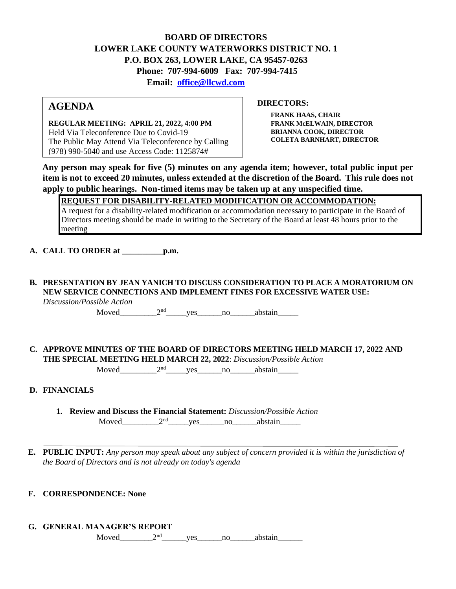#### **BOARD OF DIRECTORS LOWER LAKE COUNTY WATERWORKS DISTRICT NO. 1 P.O. BOX 263, LOWER LAKE, CA 95457-0263 Phone: 707-994-6009 Fax: 707-994-7415 Email: office@llcwd.com**

# **AGENDA**

**REGULAR MEETING: APRIL 21, 2022, 4:00 PM**  Held Via Teleconference Due to Covid-19 The Public May Attend Via Teleconference by Calling (978) 990-5040 and use Access Code: 1125874#

**FRANK HAAS, CHAIR FRANK McELWAIN, DIRECTOR BRIANNA COOK, DIRECTOR COLETA BARNHART, DIRECTOR**

**DIRECTORS:** 

**Any person may speak for five (5) minutes on any agenda item; however, total public input per item is not to exceed 20 minutes, unless extended at the discretion of the Board. This rule does not apply to public hearings. Non-timed items may be taken up at any unspecified time.** 

#### **REQUEST FOR DISABILITY-RELATED MODIFICATION OR ACCOMMODATION:**

A request for a disability-related modification or accommodation necessary to participate in the Board of Directors meeting should be made in writing to the Secretary of the Board at least 48 hours prior to the meeting

- **A. CALL TO ORDER at \_\_\_\_\_\_\_\_\_\_p.m.**
- **B. PRESENTATION BY JEAN YANICH TO DISCUSS CONSIDERATION TO PLACE A MORATORIUM ON NEW SERVICE CONNECTIONS AND IMPLEMENT FINES FOR EXCESSIVE WATER USE:** *Discussion/Possible Action*

Moved\_\_\_\_\_\_\_\_\_\_\_2<sup>nd</sup>\_\_\_\_\_\_yes\_\_\_\_\_\_\_no\_\_\_\_\_\_\_abstain\_\_\_\_\_\_

# **C. APPROVE MINUTES OF THE BOARD OF DIRECTORS MEETING HELD MARCH 17, 2022 AND THE SPECIAL MEETING HELD MARCH 22, 2022**: *Discussion/Possible Action*

Moved\_\_\_\_\_\_\_\_\_2nd\_\_\_\_\_yes\_\_\_\_\_\_no\_\_\_\_\_\_abstain\_\_\_\_\_

# **D. FINANCIALS**

**1. Review and Discuss the Financial Statement:** *Discussion/Possible Action* Moved  $2<sup>nd</sup>$  yes no abstain

**E. PUBLIC INPUT:** *Any person may speak about any subject of concern provided it is within the jurisdiction of the Board of Directors and is not already on today's agenda*

# **F. CORRESPONDENCE: None**

**G. GENERAL MANAGER'S REPORT**

Moved  $2<sup>nd</sup>$  ves no abstain